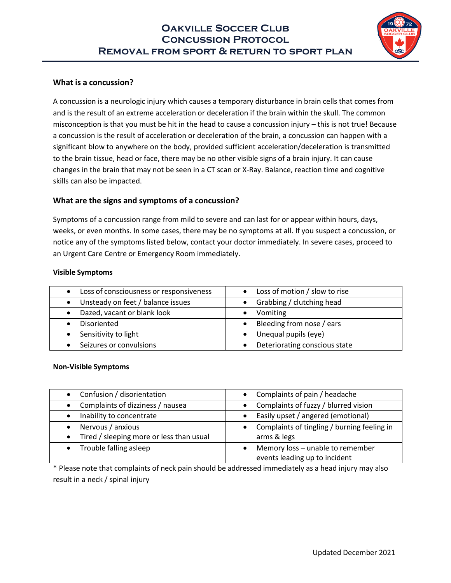

## **What is a concussion?**

A concussion is a neurologic injury which causes a temporary disturbance in brain cells that comes from and is the result of an extreme acceleration or deceleration if the brain within the skull. The common misconception is that you must be hit in the head to cause a concussion injury – this is not true! Because a concussion is the result of acceleration or deceleration of the brain, a concussion can happen with a significant blow to anywhere on the body, provided sufficient acceleration/deceleration is transmitted to the brain tissue, head or face, there may be no other visible signs of a brain injury. It can cause changes in the brain that may not be seen in a CT scan or X-Ray. Balance, reaction time and cognitive skills can also be impacted.

## **What are the signs and symptoms of a concussion?**

Symptoms of a concussion range from mild to severe and can last for or appear within hours, days, weeks, or even months. In some cases, there may be no symptoms at all. If you suspect a concussion, or notice any of the symptoms listed below, contact your doctor immediately. In severe cases, proceed to an Urgent Care Centre or Emergency Room immediately.

#### **Visible Symptoms**

| Loss of consciousness or responsiveness<br>$\bullet$ | • Loss of motion / slow to rise |
|------------------------------------------------------|---------------------------------|
| Unsteady on feet / balance issues                    | • Grabbing / clutching head     |
| Dazed, vacant or blank look                          | Vomiting                        |
| Disoriented                                          | • Bleeding from nose / ears     |
| Sensitivity to light                                 | Unequal pupils (eye)            |
| Seizures or convulsions                              | Deteriorating conscious state   |

#### **Non-Visible Symptoms**

| Confusion / disorientation               | Complaints of pain / headache               |
|------------------------------------------|---------------------------------------------|
| Complaints of dizziness / nausea         | Complaints of fuzzy / blurred vision        |
| Inability to concentrate                 | Easily upset / angered (emotional)          |
| Nervous / anxious                        | Complaints of tingling / burning feeling in |
| Tired / sleeping more or less than usual | arms & legs                                 |
| Trouble falling asleep                   | Memory loss - unable to remember            |
|                                          | events leading up to incident               |

\* Please note that complaints of neck pain should be addressed immediately as a head injury may also result in a neck / spinal injury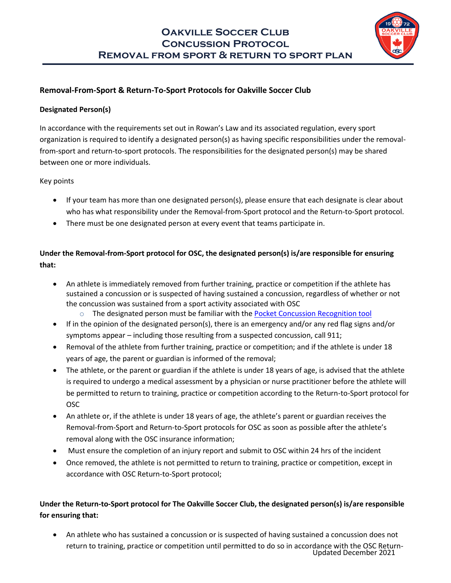

## **Removal-From-Sport & Return-To-Sport Protocols for Oakville Soccer Club**

## **Designated Person(s)**

In accordance with the requirements set out in Rowan's Law and its associated regulation, every sport organization is required to identify a designated person(s) as having specific responsibilities under the removalfrom-sport and return-to-sport protocols. The responsibilities for the designated person(s) may be shared between one or more individuals.

## Key points

- If your team has more than one designated person(s), please ensure that each designate is clear about who has what responsibility under the Removal-from-Sport protocol and the Return-to-Sport protocol.
- There must be one designated person at every event that teams participate in.

# **Under the Removal-from-Sport protocol for OSC, the designated person(s) is/are responsible for ensuring that:**

- An athlete is immediately removed from further training, practice or competition if the athlete has sustained a concussion or is suspected of having sustained a concussion, regardless of whether or not the concussion was sustained from a sport activity associated with OSC
	- $\circ$  The designated person must be familiar with the [Pocket Concussion Recognition tool](https://bjsm.bmj.com/content/bjsports/51/11/872.full.pdf)
- If in the opinion of the designated person(s), there is an emergency and/or any red flag signs and/or symptoms appear – including those resulting from a suspected concussion, call 911;
- Removal of the athlete from further training, practice or competition; and if the athlete is under 18 years of age, the parent or guardian is informed of the removal;
- The athlete, or the parent or guardian if the athlete is under 18 years of age, is advised that the athlete is required to undergo a medical assessment by a physician or nurse practitioner before the athlete will be permitted to return to training, practice or competition according to the Return-to-Sport protocol for OSC
- An athlete or, if the athlete is under 18 years of age, the athlete's parent or guardian receives the Removal-from-Sport and Return-to-Sport protocols for OSC as soon as possible after the athlete's removal along with the OSC insurance information;
- Must ensure the completion of an injury report and submit to OSC within 24 hrs of the incident
- Once removed, the athlete is not permitted to return to training, practice or competition, except in accordance with OSC Return-to-Sport protocol;

# **Under the Return-to-Sport protocol for The Oakville Soccer Club, the designated person(s) is/are responsible for ensuring that:**

Updated December 2021 • An athlete who has sustained a concussion or is suspected of having sustained a concussion does not return to training, practice or competition until permitted to do so in accordance with the OSC Return-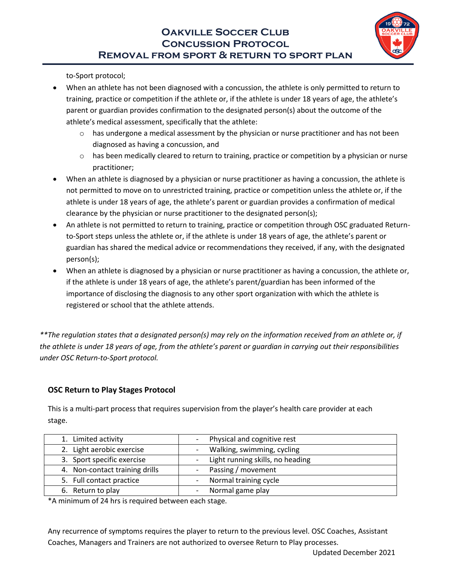

to-Sport protocol;

- When an athlete has not been diagnosed with a concussion, the athlete is only permitted to return to training, practice or competition if the athlete or, if the athlete is under 18 years of age, the athlete's parent or guardian provides confirmation to the designated person(s) about the outcome of the athlete's medical assessment, specifically that the athlete:
	- $\circ$  has undergone a medical assessment by the physician or nurse practitioner and has not been diagnosed as having a concussion, and
	- $\circ$  has been medically cleared to return to training, practice or competition by a physician or nurse practitioner;
- When an athlete is diagnosed by a physician or nurse practitioner as having a concussion, the athlete is not permitted to move on to unrestricted training, practice or competition unless the athlete or, if the athlete is under 18 years of age, the athlete's parent or guardian provides a confirmation of medical clearance by the physician or nurse practitioner to the designated person(s);
- An athlete is not permitted to return to training, practice or competition through OSC graduated Returnto-Sport steps unless the athlete or, if the athlete is under 18 years of age, the athlete's parent or guardian has shared the medical advice or recommendations they received, if any, with the designated person(s);
- When an athlete is diagnosed by a physician or nurse practitioner as having a concussion, the athlete or, if the athlete is under 18 years of age, the athlete's parent/guardian has been informed of the importance of disclosing the diagnosis to any other sport organization with which the athlete is registered or school that the athlete attends.

*\*\*The regulation states that a designated person(s) may rely on the information received from an athlete or, if the athlete is under 18 years of age, from the athlete's parent or guardian in carrying out their responsibilities under OSC Return-to-Sport protocol.* 

## **OSC Return to Play Stages Protocol**

This is a multi-part process that requires supervision from the player's health care provider at each stage.

| 1. Limited activity            | - Physical and cognitive rest                |
|--------------------------------|----------------------------------------------|
| 2. Light aerobic exercise      | Walking, swimming, cycling<br>$\overline{a}$ |
| 3. Sport specific exercise     | - Light running skills, no heading           |
| 4. Non-contact training drills | - Passing / movement                         |
| 5. Full contact practice       | Normal training cycle                        |
| 6. Return to play              | Normal game play                             |

\*A minimum of 24 hrs is required between each stage.

Any recurrence of symptoms requires the player to return to the previous level. OSC Coaches, Assistant Coaches, Managers and Trainers are not authorized to oversee Return to Play processes.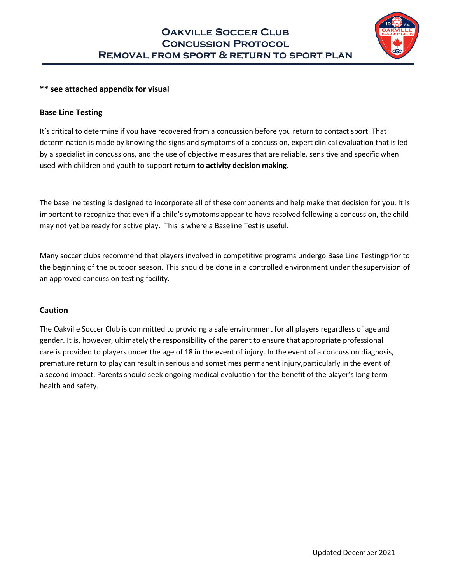

## **\*\* see attached appendix for visual**

### **Base Line Testing**

It's critical to determine if you have recovered from a concussion before you return to contact sport. That determination is made by knowing the signs and symptoms of a concussion, expert clinical evaluation that is led by a specialist in concussions, and the use of objective measures that are reliable, sensitive and specific when used with children and youth to support **return to activity decision making**.

The baseline testing is designed to incorporate all of these components and help make that decision for you. It is important to recognize that even if a child's symptoms appear to have resolved following a concussion, the child may not yet be ready for active play. This is where a Baseline Test is useful.

Many soccer clubs recommend that players involved in competitive programs undergo Base Line Testing prior to the beginning of the outdoor season. This should be done in a controlled environment under the supervision of an approved concussion testing facility.

#### **Caution**

The Oakville Soccer Club is committed to providing a safe environment for all players regardless of age and gender. It is, however, ultimately the responsibility of the parent to ensure that appropriate professional care is provided to players under the age of 18 in the event of injury. In the event of a concussion diagnosis, premature return to play can result in serious and sometimes permanent injury, particularly in the event of a second impact. Parents should seek ongoing medical evaluation for the benefit of the player's long term health and safety.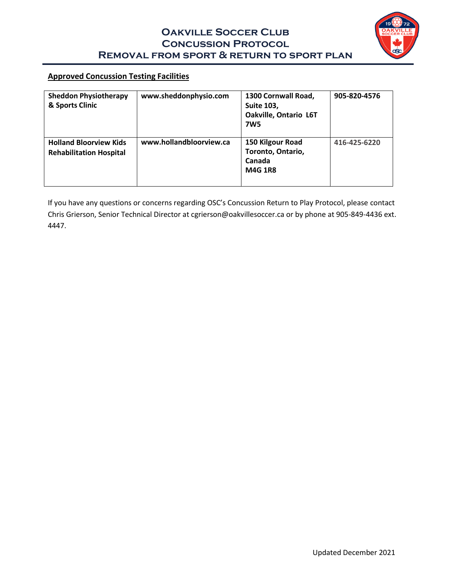

## **Approved Concussion Testing Facilities**

| <b>Sheddon Physiotherapy</b><br>& Sports Clinic                 | www.sheddonphysio.com   | 1300 Cornwall Road,<br><b>Suite 103,</b><br>Oakville, Ontario L6T<br><b>7W5</b> | 905-820-4576 |
|-----------------------------------------------------------------|-------------------------|---------------------------------------------------------------------------------|--------------|
| <b>Holland Bloorview Kids</b><br><b>Rehabilitation Hospital</b> | www.hollandbloorview.ca | 150 Kilgour Road<br>Toronto, Ontario,<br>Canada<br><b>M4G 1R8</b>               | 416-425-6220 |

If you have any questions or concerns regarding OSC's Concussion Return to Play Protocol, please contact Chris Grierson, Senior Technical Director a[t cgrierson@oakvillesoccer.ca o](mailto:cgrierson@oakvillesoccer.ca)r by phone at 905-849-4436 ext. 4447.